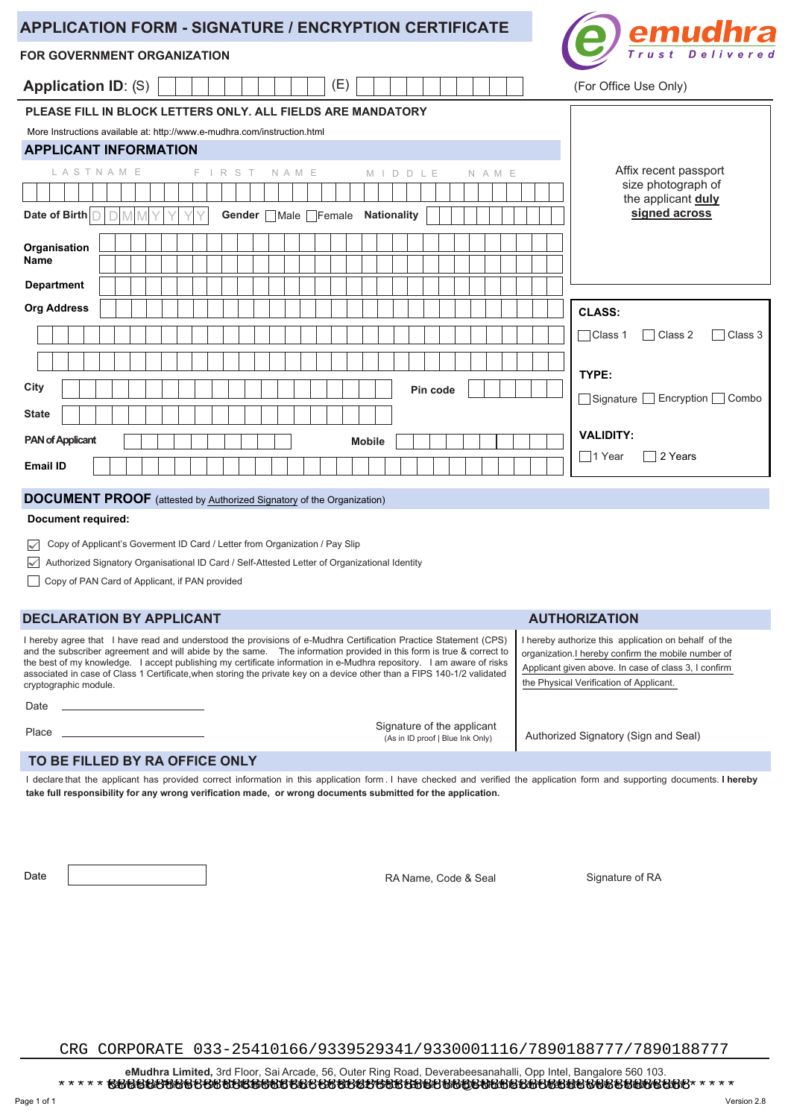| <b>APPLICATION FORM - SIGNATURE / ENCRYPTION CERTIFICATE</b>             | emudhra                                      |
|--------------------------------------------------------------------------|----------------------------------------------|
| <b>FOR GOVERNMENT ORGANIZATION</b>                                       | Trust Delivered                              |
| (E)<br><b>Application ID: (S)</b>                                        | (For Office Use Only)                        |
| PLEASE FILL IN BLOCK LETTERS ONLY. ALL FIELDS ARE MANDATORY              |                                              |
| More Instructions available at: http://www.e-mudhra.com/instruction.html |                                              |
| <b>APPLICANT INFORMATION</b>                                             |                                              |
| <b>LASTNAME</b><br>F.<br>IRST<br>NAME<br>DDLE<br>NAME<br>$M$             | Affix recent passport                        |
|                                                                          | size photograph of<br>the applicant duly     |
| Date of Birth<br><b>Nationality</b><br>Gender Male Female                | signed across                                |
| Organisation<br>Name<br><b>Department</b>                                |                                              |
| <b>Org Address</b>                                                       | <b>CLASS:</b>                                |
|                                                                          | Class 2<br>Class 3<br>Class 1                |
|                                                                          | TYPE:                                        |
| City<br>Pin code                                                         | Signature Encryption Combo                   |
| <b>State</b>                                                             |                                              |
| <b>PAN of Applicant</b><br><b>Mobile</b>                                 | <b>VALIDITY:</b><br>$\Box$ 1 Year<br>2 Years |
| <b>Email ID</b>                                                          |                                              |

## **DOCUMENT PROOF** (attested by **Authorized Signatory** of the Organization)

#### **Document required:**

Copy of Applicant's Goverment ID Card / Letter from Organization / Pay Slip

Authorized Signatory Organisational ID Card / Self-Attested Letter of Organizational Identity

Copy of PAN Card of Applicant, if PAN provided

## **DECLARATION BY APPLICANT**

I hereby agree that I have read and understood the provisions of e-Mudhra Certification Practice Statement (CPS) and the subscriber agreement and will abide by the same. The information provided in this form is true & correct to the best of my knowledge. I accept publishing my certificate information in e-Mudhra repository. I am aware of risks associated in case of Class 1 Certificate,when storing the private key on a device other than a FIPS 140-1/2 validated cryptographic module.

#### **AUTHORIZATION**

I hereby authorize this application on behalf of the organization. I hereby confirm the mobile number of Applicant given above. In case of class 3, I confirm the Physical Verification of Applicant.

Place <br>Place Authorized Signatory (Sign and Seal) and Seal (As in D proof I Blue Ink Only)

## **TO BE FILLED BY RA OFFICE ONLY**

I declare that the applicant has provided correct information in this application form . I have checked and verified the application form and supporting documents. **I hereby take full responsibility for any wrong verification made, or wrong documents submitted for the application.**

Date

Date **RA Name, Code & Seal Signature of RA** Name, Code & Seal Signature of RA

(As in ID proof | Blue Ink Only)

Signature of the applicant

CRG CORPORATE 033-25410166/9339529341/9330001116/7890188777/7890188777

 **eMudhra Limited,** 3rd Floor, Sai Arcade, 56, Outer Ring Road, Deverabeesanahalli, Opp Intel, Bangalore 560 103. Karnataka. Phone : +91 80 4336 0000 Fax : +91 80 4227 5306. Email : info@e-Mudhra.com Website: www.e-Mudhra.com. \*\*\*\*\*\*\*\*\*\*\*\*\*\*\*\*\*\*\*\*\*\*\*\*\*\*\*\*\*\*\*\*\*\*\*\*\*\*\*\*\*\*\*\*\*\*\*\*\*\*\*\*\*\*\*\*\*\*\*\*\*\*\*\*\*\*\*\*\*\*\* 8888888888888888888888888888888888888888888888888888888888888